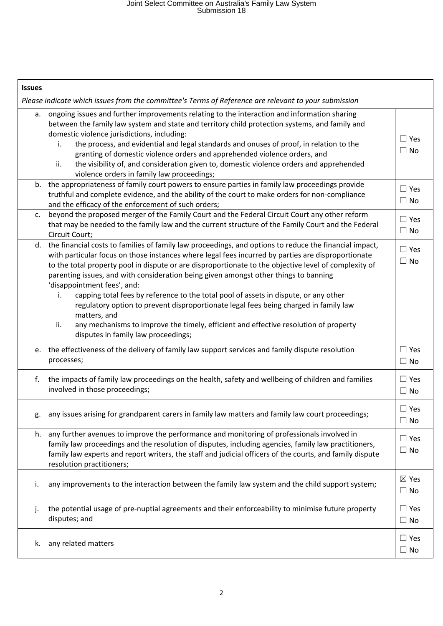| <b>Issues</b>                                                                                                                                                                                                                                                                                                                                                                                                                                                                                                                                                                                                                                                                                                                                                                               |                              |
|---------------------------------------------------------------------------------------------------------------------------------------------------------------------------------------------------------------------------------------------------------------------------------------------------------------------------------------------------------------------------------------------------------------------------------------------------------------------------------------------------------------------------------------------------------------------------------------------------------------------------------------------------------------------------------------------------------------------------------------------------------------------------------------------|------------------------------|
| Please indicate which issues from the committee's Terms of Reference are relevant to your submission                                                                                                                                                                                                                                                                                                                                                                                                                                                                                                                                                                                                                                                                                        |                              |
| ongoing issues and further improvements relating to the interaction and information sharing<br>а.<br>between the family law system and state and territory child protection systems, and family and<br>domestic violence jurisdictions, including:<br>the process, and evidential and legal standards and onuses of proof, in relation to the<br>i.<br>granting of domestic violence orders and apprehended violence orders, and<br>the visibility of, and consideration given to, domestic violence orders and apprehended<br>ii.<br>violence orders in family law proceedings;                                                                                                                                                                                                            | $\Box$ Yes<br>$\Box$ No      |
| b. the appropriateness of family court powers to ensure parties in family law proceedings provide<br>truthful and complete evidence, and the ability of the court to make orders for non-compliance<br>and the efficacy of the enforcement of such orders;                                                                                                                                                                                                                                                                                                                                                                                                                                                                                                                                  | $\Box$ Yes<br>$\Box$ No      |
| beyond the proposed merger of the Family Court and the Federal Circuit Court any other reform<br>$C_{\bullet}$<br>that may be needed to the family law and the current structure of the Family Court and the Federal<br>Circuit Court;                                                                                                                                                                                                                                                                                                                                                                                                                                                                                                                                                      | $\Box$ Yes<br>$\Box$ No      |
| d. the financial costs to families of family law proceedings, and options to reduce the financial impact,<br>with particular focus on those instances where legal fees incurred by parties are disproportionate<br>to the total property pool in dispute or are disproportionate to the objective level of complexity of<br>parenting issues, and with consideration being given amongst other things to banning<br>'disappointment fees', and:<br>capping total fees by reference to the total pool of assets in dispute, or any other<br>i.<br>regulatory option to prevent disproportionate legal fees being charged in family law<br>matters, and<br>any mechanisms to improve the timely, efficient and effective resolution of property<br>ii.<br>disputes in family law proceedings; | $\Box$ Yes<br>$\Box$ No      |
| e. the effectiveness of the delivery of family law support services and family dispute resolution<br>processes;                                                                                                                                                                                                                                                                                                                                                                                                                                                                                                                                                                                                                                                                             | $\Box$ Yes<br>$\Box$ No      |
| the impacts of family law proceedings on the health, safety and wellbeing of children and families<br>f.<br>involved in those proceedings;                                                                                                                                                                                                                                                                                                                                                                                                                                                                                                                                                                                                                                                  | $\Box$ Yes<br>$\Box$ No      |
| any issues arising for grandparent carers in family law matters and family law court proceedings;                                                                                                                                                                                                                                                                                                                                                                                                                                                                                                                                                                                                                                                                                           | $\Box$ Yes<br>$\Box$ No      |
| any further avenues to improve the performance and monitoring of professionals involved in<br>h.<br>family law proceedings and the resolution of disputes, including agencies, family law practitioners,<br>family law experts and report writers, the staff and judicial officers of the courts, and family dispute<br>resolution practitioners;                                                                                                                                                                                                                                                                                                                                                                                                                                           | $\Box$ Yes<br>$\Box$ No      |
| any improvements to the interaction between the family law system and the child support system;<br>i.                                                                                                                                                                                                                                                                                                                                                                                                                                                                                                                                                                                                                                                                                       | $\boxtimes$ Yes<br>$\Box$ No |
| the potential usage of pre-nuptial agreements and their enforceability to minimise future property<br>j.<br>disputes; and                                                                                                                                                                                                                                                                                                                                                                                                                                                                                                                                                                                                                                                                   | $\Box$ Yes<br>$\Box$ No      |
| any related matters<br>k.                                                                                                                                                                                                                                                                                                                                                                                                                                                                                                                                                                                                                                                                                                                                                                   | $\Box$ Yes<br>$\square$ No   |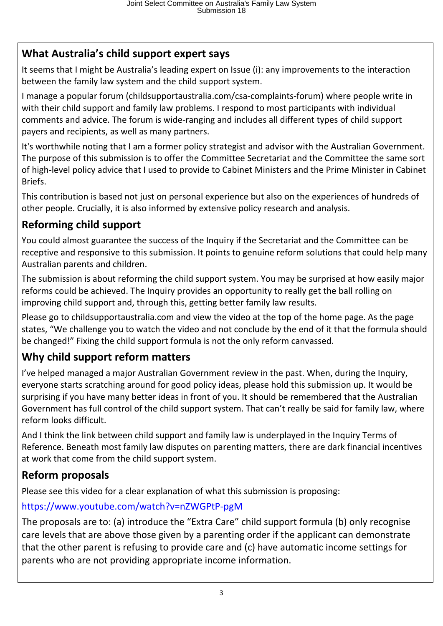## **What Australia's child support expert says**

It seems that I might be Australia's leading expert on Issue (i): any improvements to the interaction between the family law system and the child support system.

I manage a popular forum (childsupportaustralia.com/csa-complaints-forum) where people write in with their child support and family law problems. I respond to most participants with individual comments and advice. The forum is wide-ranging and includes all different types of child support payers and recipients, as well as many partners.

It's worthwhile noting that I am a former policy strategist and advisor with the Australian Government. The purpose of this submission is to offer the Committee Secretariat and the Committee the same sort of high-level policy advice that I used to provide to Cabinet Ministers and the Prime Minister in Cabinet Briefs.

This contribution is based not just on personal experience but also on the experiences of hundreds of other people. Crucially, it is also informed by extensive policy research and analysis.

## **Reforming child support**

You could almost guarantee the success of the Inquiry if the Secretariat and the Committee can be receptive and responsive to this submission. It points to genuine reform solutions that could help many Australian parents and children.

The submission is about reforming the child support system. You may be surprised at how easily major reforms could be achieved. The Inquiry provides an opportunity to really get the ball rolling on improving child support and, through this, getting better family law results.

Please go to childsupportaustralia.com and view the video at the top of the home page. As the page states, "We challenge you to watch the video and not conclude by the end of it that the formula should be changed!" Fixing the child support formula is not the only reform canvassed.

## **Why child support reform matters**

I've helped managed a major Australian Government review in the past. When, during the Inquiry, everyone starts scratching around for good policy ideas, please hold this submission up. It would be surprising if you have many better ideas in front of you. It should be remembered that the Australian Government has full control of the child support system. That can't really be said for family law, where reform looks difficult.

And I think the link between child support and family law is underplayed in the Inquiry Terms of Reference. Beneath most family law disputes on parenting matters, there are dark financial incentives at work that come from the child support system.

## **Reform proposals**

Please see this video for a clear explanation of what this submission is proposing:

#### https://www.youtube.com/watch?v=nZWGPtP-pgM

The proposals are to: (a) introduce the "Extra Care" child support formula (b) only recognise care levels that are above those given by a parenting order if the applicant can demonstrate that the other parent is refusing to provide care and (c) have automatic income settings for parents who are not providing appropriate income information.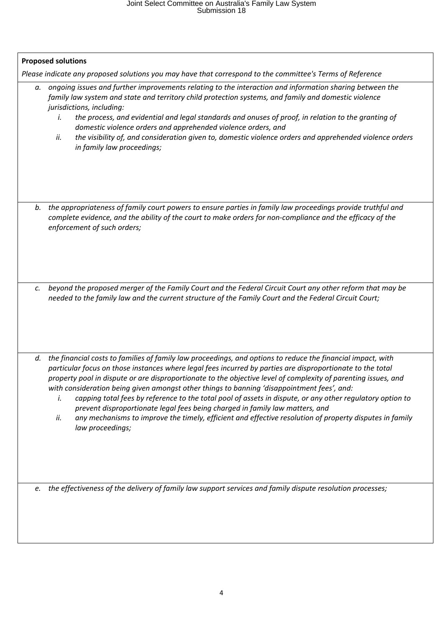# Joint Select Committee on Australia's Family Law System Submission 18

| <b>Proposed solutions</b> |                                                                                                                                                                                                                                                                                                                                                                                                                                                                                                                                                                                                                                                                                                                                                                                    |  |
|---------------------------|------------------------------------------------------------------------------------------------------------------------------------------------------------------------------------------------------------------------------------------------------------------------------------------------------------------------------------------------------------------------------------------------------------------------------------------------------------------------------------------------------------------------------------------------------------------------------------------------------------------------------------------------------------------------------------------------------------------------------------------------------------------------------------|--|
|                           | Please indicate any proposed solutions you may have that correspond to the committee's Terms of Reference                                                                                                                                                                                                                                                                                                                                                                                                                                                                                                                                                                                                                                                                          |  |
| а.                        | ongoing issues and further improvements relating to the interaction and information sharing between the<br>family law system and state and territory child protection systems, and family and domestic violence<br>jurisdictions, including:<br>the process, and evidential and legal standards and onuses of proof, in relation to the granting of<br>i.<br>domestic violence orders and apprehended violence orders, and<br>the visibility of, and consideration given to, domestic violence orders and apprehended violence orders<br>ii.<br>in family law proceedings;                                                                                                                                                                                                         |  |
| b.                        | the appropriateness of family court powers to ensure parties in family law proceedings provide truthful and<br>complete evidence, and the ability of the court to make orders for non-compliance and the efficacy of the<br>enforcement of such orders;                                                                                                                                                                                                                                                                                                                                                                                                                                                                                                                            |  |
| $\mathcal{C}$ .           | beyond the proposed merger of the Family Court and the Federal Circuit Court any other reform that may be<br>needed to the family law and the current structure of the Family Court and the Federal Circuit Court;                                                                                                                                                                                                                                                                                                                                                                                                                                                                                                                                                                 |  |
|                           |                                                                                                                                                                                                                                                                                                                                                                                                                                                                                                                                                                                                                                                                                                                                                                                    |  |
| d.                        | the financial costs to families of family law proceedings, and options to reduce the financial impact, with<br>particular focus on those instances where legal fees incurred by parties are disproportionate to the total<br>property pool in dispute or are disproportionate to the objective level of complexity of parenting issues, and<br>with consideration being given amongst other things to banning 'disappointment fees', and:<br>capping total fees by reference to the total pool of assets in dispute, or any other regulatory option to<br>i.<br>prevent disproportionate legal fees being charged in family law matters, and<br>any mechanisms to improve the timely, efficient and effective resolution of property disputes in family<br>ii.<br>law proceedings; |  |
|                           | e. the effectiveness of the delivery of family law support services and family dispute resolution processes;                                                                                                                                                                                                                                                                                                                                                                                                                                                                                                                                                                                                                                                                       |  |
|                           |                                                                                                                                                                                                                                                                                                                                                                                                                                                                                                                                                                                                                                                                                                                                                                                    |  |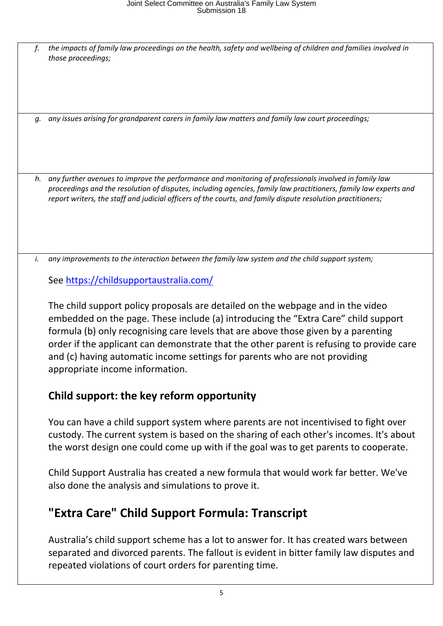f. the impacts of family law proceedings on the health, safety and wellbeing of children and families involved in *those proceedings;*

*g. any issues arising for grandparent carers in family law matters and family law court proceedings;*

*h. any further avenues to improve the performance and monitoring of professionals involved in family law proceedings and the resolution of disputes, including agencies, family law practitioners, family law experts and report writers, the staff and judicial officers of the courts, and family dispute resolution practitioners;*

*i. any improvements to the interaction between the family law system and the child support system;*

See https://childsupportaustralia.com/

The child support policy proposals are detailed on the webpage and in the video embedded on the page. These include (a) introducing the "Extra Care" child support formula (b) only recognising care levels that are above those given by a parenting order if the applicant can demonstrate that the other parent is refusing to provide care and (c) having automatic income settings for parents who are not providing appropriate income information.

## **Child support: the key reform opportunity**

You can have a child support system where parents are not incentivised to fight over custody. The current system is based on the sharing of each other's incomes. It's about the worst design one could come up with if the goal was to get parents to cooperate.

Child Support Australia has created a new formula that would work far better. We've also done the analysis and simulations to prove it.

# **"Extra Care" Child Support Formula: Transcript**

Australia's child support scheme has a lot to answer for. It has created wars between separated and divorced parents. The fallout is evident in bitter family law disputes and repeated violations of court orders for parenting time.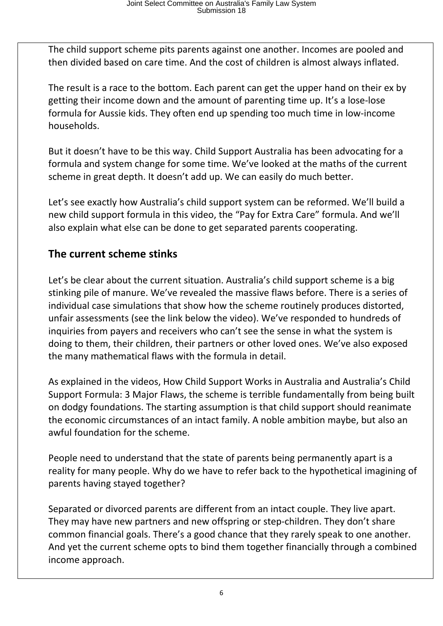The child support scheme pits parents against one another. Incomes are pooled and then divided based on care time. And the cost of children is almost always inflated.

The result is a race to the bottom. Each parent can get the upper hand on their ex by getting their income down and the amount of parenting time up. It's a lose-lose formula for Aussie kids. They often end up spending too much time in low-income households.

But it doesn't have to be this way. Child Support Australia has been advocating for a formula and system change for some time. We've looked at the maths of the current scheme in great depth. It doesn't add up. We can easily do much better.

Let's see exactly how Australia's child support system can be reformed. We'll build a new child support formula in this video, the "Pay for Extra Care" formula. And we'll also explain what else can be done to get separated parents cooperating.

## **The current scheme stinks**

Let's be clear about the current situation. Australia's child support scheme is a big stinking pile of manure. We've revealed the massive flaws before. There is a series of individual case simulations that show how the scheme routinely produces distorted, unfair assessments (see the link below the video). We've responded to hundreds of inquiries from payers and receivers who can't see the sense in what the system is doing to them, their children, their partners or other loved ones. We've also exposed the many mathematical flaws with the formula in detail.

As explained in the videos, How Child Support Works in Australia and Australia's Child Support Formula: 3 Major Flaws, the scheme is terrible fundamentally from being built on dodgy foundations. The starting assumption is that child support should reanimate the economic circumstances of an intact family. A noble ambition maybe, but also an awful foundation for the scheme.

People need to understand that the state of parents being permanently apart is a reality for many people. Why do we have to refer back to the hypothetical imagining of parents having stayed together?

Separated or divorced parents are different from an intact couple. They live apart. They may have new partners and new offspring or step-children. They don't share common financial goals. There's a good chance that they rarely speak to one another. And yet the current scheme opts to bind them together financially through a combined income approach.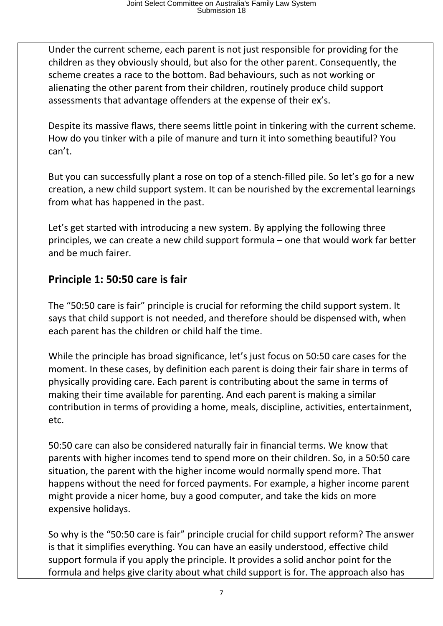Under the current scheme, each parent is not just responsible for providing for the children as they obviously should, but also for the other parent. Consequently, the scheme creates a race to the bottom. Bad behaviours, such as not working or alienating the other parent from their children, routinely produce child support assessments that advantage offenders at the expense of their ex's.

Despite its massive flaws, there seems little point in tinkering with the current scheme. How do you tinker with a pile of manure and turn it into something beautiful? You can't.

But you can successfully plant a rose on top of a stench-filled pile. So let's go for a new creation, a new child support system. It can be nourished by the excremental learnings from what has happened in the past.

Let's get started with introducing a new system. By applying the following three principles, we can create a new child support formula – one that would work far better and be much fairer.

## **Principle 1: 50:50 care is fair**

The "50:50 care is fair" principle is crucial for reforming the child support system. It says that child support is not needed, and therefore should be dispensed with, when each parent has the children or child half the time.

While the principle has broad significance, let's just focus on 50:50 care cases for the moment. In these cases, by definition each parent is doing their fair share in terms of physically providing care. Each parent is contributing about the same in terms of making their time available for parenting. And each parent is making a similar contribution in terms of providing a home, meals, discipline, activities, entertainment, etc.

50:50 care can also be considered naturally fair in financial terms. We know that parents with higher incomes tend to spend more on their children. So, in a 50:50 care situation, the parent with the higher income would normally spend more. That happens without the need for forced payments. For example, a higher income parent might provide a nicer home, buy a good computer, and take the kids on more expensive holidays.

So why is the "50:50 care is fair" principle crucial for child support reform? The answer is that it simplifies everything. You can have an easily understood, effective child support formula if you apply the principle. It provides a solid anchor point for the formula and helps give clarity about what child support is for. The approach also has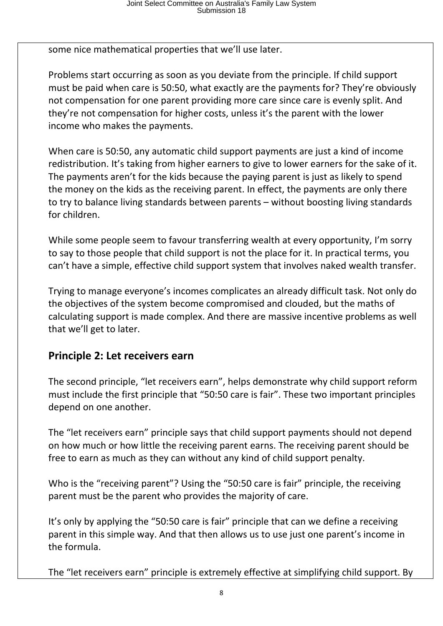some nice mathematical properties that we'll use later.

Problems start occurring as soon as you deviate from the principle. If child support must be paid when care is 50:50, what exactly are the payments for? They're obviously not compensation for one parent providing more care since care is evenly split. And they're not compensation for higher costs, unless it's the parent with the lower income who makes the payments.

When care is 50:50, any automatic child support payments are just a kind of income redistribution. It's taking from higher earners to give to lower earners for the sake of it. The payments aren't for the kids because the paying parent is just as likely to spend the money on the kids as the receiving parent. In effect, the payments are only there to try to balance living standards between parents – without boosting living standards for children.

While some people seem to favour transferring wealth at every opportunity, I'm sorry to say to those people that child support is not the place for it. In practical terms, you can't have a simple, effective child support system that involves naked wealth transfer.

Trying to manage everyone's incomes complicates an already difficult task. Not only do the objectives of the system become compromised and clouded, but the maths of calculating support is made complex. And there are massive incentive problems as well that we'll get to later.

#### **Principle 2: Let receivers earn**

The second principle, "let receivers earn", helps demonstrate why child support reform must include the first principle that "50:50 care is fair". These two important principles depend on one another.

The "let receivers earn" principle says that child support payments should not depend on how much or how little the receiving parent earns. The receiving parent should be free to earn as much as they can without any kind of child support penalty.

Who is the "receiving parent"? Using the "50:50 care is fair" principle, the receiving parent must be the parent who provides the majority of care.

It's only by applying the "50:50 care is fair" principle that can we define a receiving parent in this simple way. And that then allows us to use just one parent's income in the formula.

The "let receivers earn" principle is extremely effective at simplifying child support. By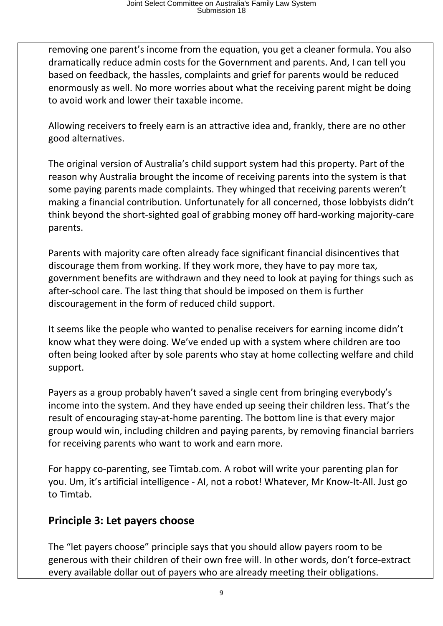removing one parent's income from the equation, you get a cleaner formula. You also dramatically reduce admin costs for the Government and parents. And, I can tell you based on feedback, the hassles, complaints and grief for parents would be reduced enormously as well. No more worries about what the receiving parent might be doing to avoid work and lower their taxable income.

Allowing receivers to freely earn is an attractive idea and, frankly, there are no other good alternatives.

The original version of Australia's child support system had this property. Part of the reason why Australia brought the income of receiving parents into the system is that some paying parents made complaints. They whinged that receiving parents weren't making a financial contribution. Unfortunately for all concerned, those lobbyists didn't think beyond the short-sighted goal of grabbing money off hard-working majority-care parents.

Parents with majority care often already face significant financial disincentives that discourage them from working. If they work more, they have to pay more tax, government benefits are withdrawn and they need to look at paying for things such as after-school care. The last thing that should be imposed on them is further discouragement in the form of reduced child support.

It seems like the people who wanted to penalise receivers for earning income didn't know what they were doing. We've ended up with a system where children are too often being looked after by sole parents who stay at home collecting welfare and child support.

Payers as a group probably haven't saved a single cent from bringing everybody's income into the system. And they have ended up seeing their children less. That's the result of encouraging stay-at-home parenting. The bottom line is that every major group would win, including children and paying parents, by removing financial barriers for receiving parents who want to work and earn more.

For happy co-parenting, see Timtab.com. A robot will write your parenting plan for you. Um, it's artificial intelligence - AI, not a robot! Whatever, Mr Know-It-All. Just go to Timtab.

## **Principle 3: Let payers choose**

The "let payers choose" principle says that you should allow payers room to be generous with their children of their own free will. In other words, don't force-extract every available dollar out of payers who are already meeting their obligations.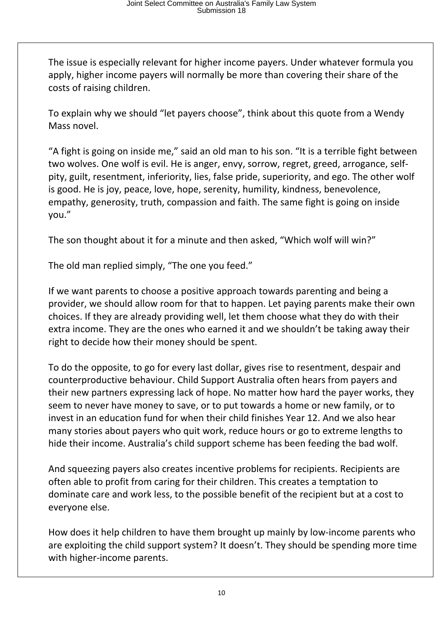The issue is especially relevant for higher income payers. Under whatever formula you apply, higher income payers will normally be more than covering their share of the costs of raising children.

To explain why we should "let payers choose", think about this quote from a Wendy Mass novel.

"A fight is going on inside me," said an old man to his son. "It is a terrible fight between two wolves. One wolf is evil. He is anger, envy, sorrow, regret, greed, arrogance, selfpity, guilt, resentment, inferiority, lies, false pride, superiority, and ego. The other wolf is good. He is joy, peace, love, hope, serenity, humility, kindness, benevolence, empathy, generosity, truth, compassion and faith. The same fight is going on inside you."

The son thought about it for a minute and then asked, "Which wolf will win?"

The old man replied simply, "The one you feed."

If we want parents to choose a positive approach towards parenting and being a provider, we should allow room for that to happen. Let paying parents make their own choices. If they are already providing well, let them choose what they do with their extra income. They are the ones who earned it and we shouldn't be taking away their right to decide how their money should be spent.

To do the opposite, to go for every last dollar, gives rise to resentment, despair and counterproductive behaviour. Child Support Australia often hears from payers and their new partners expressing lack of hope. No matter how hard the payer works, they seem to never have money to save, or to put towards a home or new family, or to invest in an education fund for when their child finishes Year 12. And we also hear many stories about payers who quit work, reduce hours or go to extreme lengths to hide their income. Australia's child support scheme has been feeding the bad wolf.

And squeezing payers also creates incentive problems for recipients. Recipients are often able to profit from caring for their children. This creates a temptation to dominate care and work less, to the possible benefit of the recipient but at a cost to everyone else.

How does it help children to have them brought up mainly by low-income parents who are exploiting the child support system? It doesn't. They should be spending more time with higher-income parents.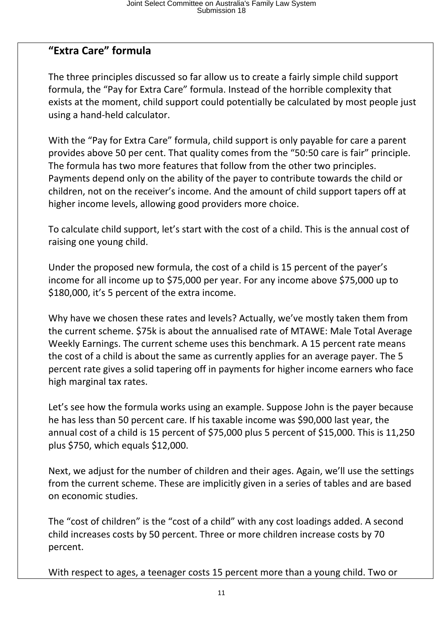## **"Extra Care" formula**

The three principles discussed so far allow us to create a fairly simple child support formula, the "Pay for Extra Care" formula. Instead of the horrible complexity that exists at the moment, child support could potentially be calculated by most people just using a hand-held calculator.

With the "Pay for Extra Care" formula, child support is only payable for care a parent provides above 50 per cent. That quality comes from the "50:50 care is fair" principle. The formula has two more features that follow from the other two principles. Payments depend only on the ability of the payer to contribute towards the child or children, not on the receiver's income. And the amount of child support tapers off at higher income levels, allowing good providers more choice.

To calculate child support, let's start with the cost of a child. This is the annual cost of raising one young child.

Under the proposed new formula, the cost of a child is 15 percent of the payer's income for all income up to \$75,000 per year. For any income above \$75,000 up to \$180,000, it's 5 percent of the extra income.

Why have we chosen these rates and levels? Actually, we've mostly taken them from the current scheme. \$75k is about the annualised rate of MTAWE: Male Total Average Weekly Earnings. The current scheme uses this benchmark. A 15 percent rate means the cost of a child is about the same as currently applies for an average payer. The 5 percent rate gives a solid tapering off in payments for higher income earners who face high marginal tax rates.

Let's see how the formula works using an example. Suppose John is the payer because he has less than 50 percent care. If his taxable income was \$90,000 last year, the annual cost of a child is 15 percent of \$75,000 plus 5 percent of \$15,000. This is 11,250 plus \$750, which equals \$12,000.

Next, we adjust for the number of children and their ages. Again, we'll use the settings from the current scheme. These are implicitly given in a series of tables and are based on economic studies.

The "cost of children" is the "cost of a child" with any cost loadings added. A second child increases costs by 50 percent. Three or more children increase costs by 70 percent.

With respect to ages, a teenager costs 15 percent more than a young child. Two or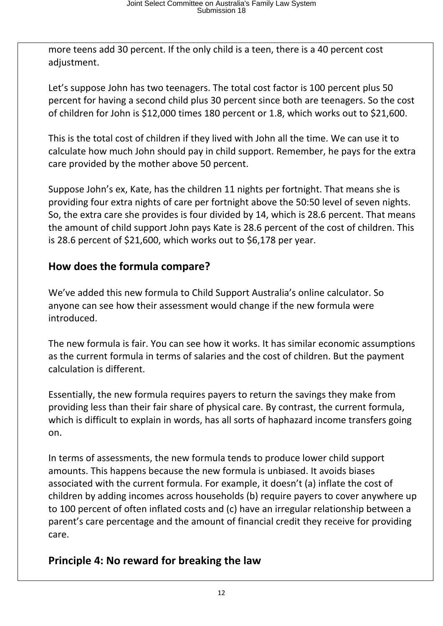more teens add 30 percent. If the only child is a teen, there is a 40 percent cost adjustment.

Let's suppose John has two teenagers. The total cost factor is 100 percent plus 50 percent for having a second child plus 30 percent since both are teenagers. So the cost of children for John is \$12,000 times 180 percent or 1.8, which works out to \$21,600.

This is the total cost of children if they lived with John all the time. We can use it to calculate how much John should pay in child support. Remember, he pays for the extra care provided by the mother above 50 percent.

Suppose John's ex, Kate, has the children 11 nights per fortnight. That means she is providing four extra nights of care per fortnight above the 50:50 level of seven nights. So, the extra care she provides is four divided by 14, which is 28.6 percent. That means the amount of child support John pays Kate is 28.6 percent of the cost of children. This is 28.6 percent of \$21,600, which works out to \$6,178 per year.

#### **How does the formula compare?**

We've added this new formula to Child Support Australia's online calculator. So anyone can see how their assessment would change if the new formula were introduced.

The new formula is fair. You can see how it works. It has similar economic assumptions as the current formula in terms of salaries and the cost of children. But the payment calculation is different.

Essentially, the new formula requires payers to return the savings they make from providing less than their fair share of physical care. By contrast, the current formula, which is difficult to explain in words, has all sorts of haphazard income transfers going on.

In terms of assessments, the new formula tends to produce lower child support amounts. This happens because the new formula is unbiased. It avoids biases associated with the current formula. For example, it doesn't (a) inflate the cost of children by adding incomes across households (b) require payers to cover anywhere up to 100 percent of often inflated costs and (c) have an irregular relationship between a parent's care percentage and the amount of financial credit they receive for providing care.

## **Principle 4: No reward for breaking the law**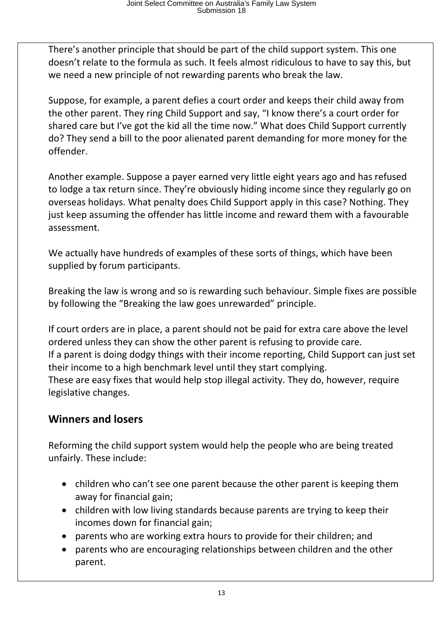There's another principle that should be part of the child support system. This one doesn't relate to the formula as such. It feels almost ridiculous to have to say this, but we need a new principle of not rewarding parents who break the law.

Suppose, for example, a parent defies a court order and keeps their child away from the other parent. They ring Child Support and say, "I know there's a court order for shared care but I've got the kid all the time now." What does Child Support currently do? They send a bill to the poor alienated parent demanding for more money for the offender.

Another example. Suppose a payer earned very little eight years ago and has refused to lodge a tax return since. They're obviously hiding income since they regularly go on overseas holidays. What penalty does Child Support apply in this case? Nothing. They just keep assuming the offender has little income and reward them with a favourable assessment.

We actually have hundreds of examples of these sorts of things, which have been supplied by forum participants.

Breaking the law is wrong and so is rewarding such behaviour. Simple fixes are possible by following the "Breaking the law goes unrewarded" principle.

If court orders are in place, a parent should not be paid for extra care above the level ordered unless they can show the other parent is refusing to provide care. If a parent is doing dodgy things with their income reporting, Child Support can just set their income to a high benchmark level until they start complying. These are easy fixes that would help stop illegal activity. They do, however, require legislative changes.

## **Winners and losers**

Reforming the child support system would help the people who are being treated unfairly. These include:

- children who can't see one parent because the other parent is keeping them away for financial gain;
- children with low living standards because parents are trying to keep their incomes down for financial gain;
- parents who are working extra hours to provide for their children; and
- parents who are encouraging relationships between children and the other parent.